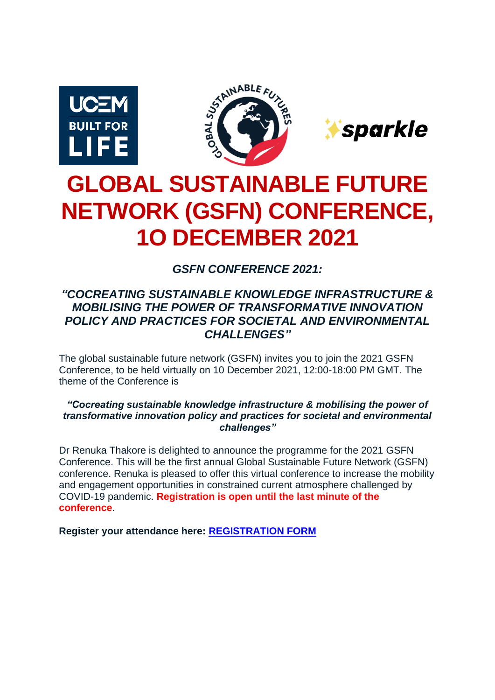





# **GLOBAL SUSTAINABLE FUTURE NETWORK (GSFN) CONFERENCE, 1O DECEMBER 2021**

*GSFN CONFERENCE 2021:*

## *"COCREATING SUSTAINABLE KNOWLEDGE INFRASTRUCTURE & MOBILISING THE POWER OF TRANSFORMATIVE INNOVATION POLICY AND PRACTICES FOR SOCIETAL AND ENVIRONMENTAL CHALLENGES"*

The global sustainable future network (GSFN) invites you to join the 2021 GSFN Conference, to be held virtually on 10 December 2021, 12:00-18:00 PM GMT. The theme of the Conference is

*"Cocreating sustainable knowledge infrastructure & mobilising the power of transformative innovation policy and practices for societal and environmental challenges"*

Dr Renuka Thakore is delighted to announce the programme for the 2021 GSFN Conference. This will be the first annual Global Sustainable Future Network (GSFN) conference. Renuka is pleased to offer this virtual conference to increase the mobility and engagement opportunities in constrained current atmosphere challenged by COVID-19 pandemic. **Registration is open until the last minute of the conference**.

**Register your attendance here: [REGISTRATION FORM](https://ucem.onlinesurveys.ac.uk/registration-form-for-gsfn-annual-conference-2021-10-dec)**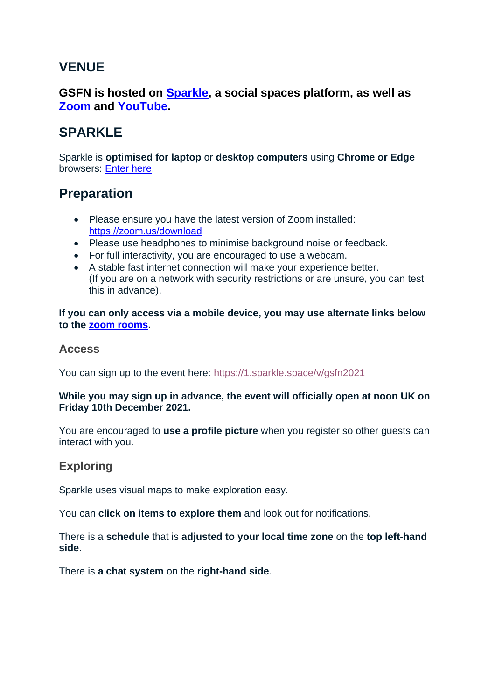# **VENUE**

## **GSFN is hosted on [Sparkle,](#page-1-0) a social spaces platform, as well as [Zoom](#page-1-1) and [YouTube.](#page-2-0)**

# <span id="page-1-0"></span>**SPARKLE**

Sparkle is **optimised for laptop** or **desktop computers** using **Chrome or Edge** browsers: [Enter here.](https://1.sparkle.space/v/gsfn2021)

## **Preparation**

- Please ensure you have the latest version of Zoom installed: <https://zoom.us/download>
- Please use headphones to minimise background noise or feedback.
- For full interactivity, you are encouraged to use a webcam.
- A stable fast internet connection will make your experience better. (If you are on a network with security restrictions or are unsure, you can test this in advance).

**If you can only access via a mobile device, you may use alternate links below to the [zoom rooms.](#page-1-1)**

### **Access**

You can sign up to the event here:<https://1.sparkle.space/v/gsfn2021>

#### **While you may sign up in advance, the event will officially open at noon UK on Friday 10th December 2021.**

You are encouraged to **use a profile picture** when you register so other guests can interact with you.

## **Exploring**

Sparkle uses visual maps to make exploration easy.

You can **click on items to explore them** and look out for notifications.

There is a **schedule** that is **adjusted to your local time zone** on the **top left-hand side**.

<span id="page-1-1"></span>There is **a chat system** on the **right-hand side**.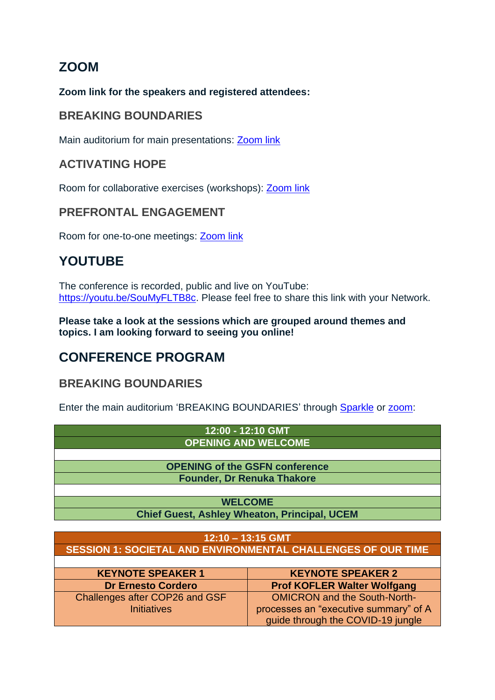# **ZOOM**

#### **Zoom link for the speakers and registered attendees:**

## **BREAKING BOUNDARIES**

Main auditorium for main presentations: **Zoom link** 

## **ACTIVATING HOPE**

Room for collaborative exercises (workshops): [Zoom link](https://us06web.zoom.us/j/83694501487?pwd=dXc2WTFOeFJ4NFIvbHJzdjlxUU5nZz09)

## **PREFRONTAL ENGAGEMENT**

Room for one-to-one meetings: [Zoom link](https://ucem.zoom.us/j/91280063944?pwd=NE1Xd0tSamJyZm0vVkxJWGlBZVdIUT09)

# <span id="page-2-0"></span>**YOUTUBE**

The conference is recorded, public and live on YouTube: [https://youtu.be/SouMyFLTB8c.](https://youtu.be/SouMyFLTB8c) Please feel free to share this link with your Network.

**Please take a look at the sessions which are grouped around themes and topics. I am looking forward to seeing you online!**

## **CONFERENCE PROGRAM**

## **BREAKING BOUNDARIES**

Enter the main auditorium 'BREAKING BOUNDARIES' through [Sparkle](https://1.sparkle.space/in/gsfn2021) or [zoom:](https://ucem.zoom.us/j/91280063944?pwd=NE1Xd0tSamJyZm0vVkxJWGlBZVdIUT09)

| 12:00 - 12:10 GMT                                                   |                                    |  |
|---------------------------------------------------------------------|------------------------------------|--|
| <b>OPENING AND WELCOME</b>                                          |                                    |  |
|                                                                     |                                    |  |
| <b>OPENING of the GSFN conference</b>                               |                                    |  |
| <b>Founder, Dr Renuka Thakore</b>                                   |                                    |  |
|                                                                     |                                    |  |
| <b>WELCOME</b>                                                      |                                    |  |
| <b>Chief Guest, Ashley Wheaton, Principal, UCEM</b>                 |                                    |  |
|                                                                     |                                    |  |
| 12:10 - 13:15 GMT                                                   |                                    |  |
| <b>SESSION 1: SOCIETAL AND ENVIRONMENTAL CHALLENGES OF OUR TIME</b> |                                    |  |
|                                                                     |                                    |  |
| <b>KEYNOTE SPEAKER 1</b>                                            | <b>KEYNOTE SPEAKER 2</b>           |  |
| <b>Dr Ernesto Cordero</b>                                           | <b>Prof KOFLER Walter Wolfgang</b> |  |

| <b>Dr Ernesto Cordero</b>             | <b>Prof KOFLER Walter Wolfgang</b>    |
|---------------------------------------|---------------------------------------|
| <b>Challenges after COP26 and GSF</b> | <b>OMICRON and the South-North-</b>   |
| <b>Initiatives</b>                    | processes an "executive summary" of A |
|                                       | guide through the COVID-19 jungle     |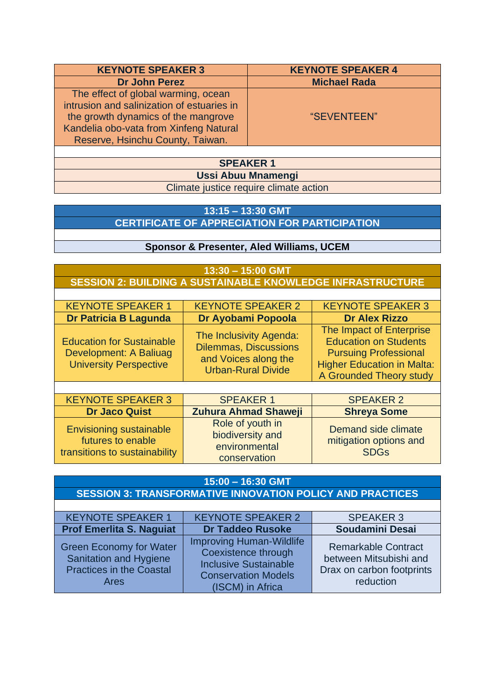| <b>KEYNOTE SPEAKER 3</b>                                                                                                                                                                               | <b>KEYNOTE SPEAKER 4</b> |  |
|--------------------------------------------------------------------------------------------------------------------------------------------------------------------------------------------------------|--------------------------|--|
| <b>Dr John Perez</b>                                                                                                                                                                                   | <b>Michael Rada</b>      |  |
| The effect of global warming, ocean<br>intrusion and salinization of estuaries in<br>the growth dynamics of the mangrove<br>Kandelia obo-vata from Xinfeng Natural<br>Reserve, Hsinchu County, Taiwan. | "SEVENTEEN"              |  |
|                                                                                                                                                                                                        |                          |  |
| <b>SPEAKER 1</b>                                                                                                                                                                                       |                          |  |
| <b>Ussi Abuu Mnamengi</b>                                                                                                                                                                              |                          |  |

Climate justice require climate action

### **13:15 – 13:30 GMT CERTIFICATE OF APPRECIATION FOR PARTICIPATION**

#### **Sponsor & Presenter, Aled Williams, UCEM**

#### **13:30 – 15:00 GMT SESSION 2: BUILDING A SUSTAINABLE KNOWLEDGE INFRASTRUCTURE**

| <b>KEYNOTE SPEAKER 1</b>                                                                    | <b>KEYNOTE SPEAKER 2</b>                                                                                     | <b>KEYNOTE SPEAKER 3</b>                                                                                                                                 |
|---------------------------------------------------------------------------------------------|--------------------------------------------------------------------------------------------------------------|----------------------------------------------------------------------------------------------------------------------------------------------------------|
| <b>Dr Patricia B Lagunda</b>                                                                | Dr Ayobami Popoola                                                                                           | <b>Dr Alex Rizzo</b>                                                                                                                                     |
| <b>Education for Sustainable</b><br>Development: A Baliuag<br><b>University Perspective</b> | The Inclusivity Agenda:<br><b>Dilemmas, Discussions</b><br>and Voices along the<br><b>Urban-Rural Divide</b> | The Impact of Enterprise<br><b>Education on Students</b><br><b>Pursuing Professional</b><br><b>Higher Education in Malta:</b><br>A Grounded Theory study |
|                                                                                             |                                                                                                              |                                                                                                                                                          |
| L/T                                                                                         | ABE AIZEB 1                                                                                                  | 885 11/58 A                                                                                                                                              |

| <b>KEYNOTE SPEAKER 3</b>                                                             | <b>SPEAKER 1</b>                                                      | <b>SPEAKER 2</b>                                             |
|--------------------------------------------------------------------------------------|-----------------------------------------------------------------------|--------------------------------------------------------------|
| <b>Dr Jaco Quist</b>                                                                 | <b>Zuhura Ahmad Shaweji</b>                                           | <b>Shreya Some</b>                                           |
| <b>Envisioning sustainable</b><br>futures to enable<br>transitions to sustainability | Role of youth in<br>biodiversity and<br>environmental<br>conservation | Demand side climate<br>mitigation options and<br><b>SDGs</b> |

| $15:00 - 16:30$ GMT                                                                                        |                                                                                                                                          |                                                                                                |  |
|------------------------------------------------------------------------------------------------------------|------------------------------------------------------------------------------------------------------------------------------------------|------------------------------------------------------------------------------------------------|--|
| <b>SESSION 3: TRANSFORMATIVE INNOVATION POLICY AND PRACTICES</b>                                           |                                                                                                                                          |                                                                                                |  |
|                                                                                                            |                                                                                                                                          |                                                                                                |  |
| <b>KEYNOTE SPEAKER 1</b>                                                                                   | <b>KEYNOTE SPEAKER 2</b><br><b>SPEAKER 3</b>                                                                                             |                                                                                                |  |
| <b>Prof Emerlita S. Naguiat</b>                                                                            | <b>Dr Taddeo Rusoke</b>                                                                                                                  | Soudamini Desai                                                                                |  |
| <b>Green Economy for Water</b><br>Sanitation and Hygiene<br><b>Practices in the Coastal</b><br><b>Ares</b> | <b>Improving Human-Wildlife</b><br>Coexistence through<br><b>Inclusive Sustainable</b><br><b>Conservation Models</b><br>(ISCM) in Africa | <b>Remarkable Contract</b><br>between Mitsubishi and<br>Drax on carbon footprints<br>reduction |  |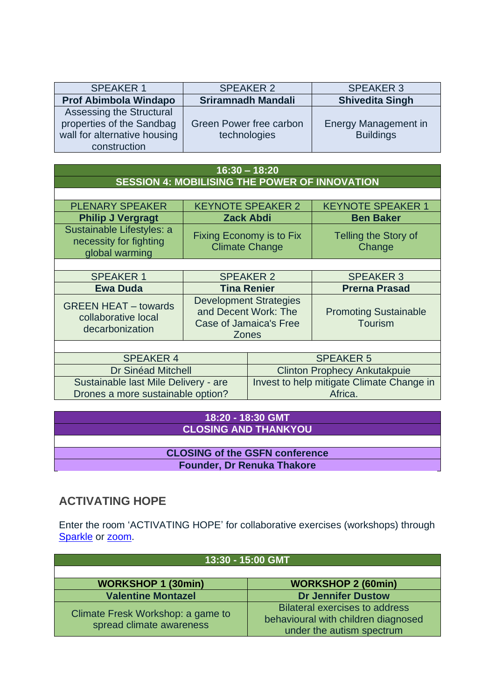| <b>SPEAKER 1</b>                                                                                      | <b>SPEAKER 2</b>                        | <b>SPEAKER 3</b>                         |
|-------------------------------------------------------------------------------------------------------|-----------------------------------------|------------------------------------------|
| <b>Prof Abimbola Windapo</b>                                                                          | <b>Sriramnadh Mandali</b>               | <b>Shivedita Singh</b>                   |
| Assessing the Structural<br>properties of the Sandbag<br>wall for alternative housing<br>construction | Green Power free carbon<br>technologies | Energy Management in<br><b>Buildings</b> |

| $16:30 - 18:20$                                                           |                                                                                                 |                                                      |                                                |
|---------------------------------------------------------------------------|-------------------------------------------------------------------------------------------------|------------------------------------------------------|------------------------------------------------|
| <b>SESSION 4: MOBILISING THE POWER OF INNOVATION</b>                      |                                                                                                 |                                                      |                                                |
|                                                                           |                                                                                                 |                                                      |                                                |
| <b>PLENARY SPEAKER</b>                                                    |                                                                                                 | <b>KEYNOTE SPEAKER 2</b>                             | <b>KEYNOTE SPEAKER 1</b>                       |
| <b>Philip J Vergragt</b>                                                  |                                                                                                 | <b>Zack Abdi</b>                                     | <b>Ben Baker</b>                               |
| Sustainable Lifestyles: a<br>necessity for fighting<br>global warming     | Fixing Economy is to Fix<br><b>Climate Change</b>                                               |                                                      | Telling the Story of<br>Change                 |
|                                                                           |                                                                                                 |                                                      |                                                |
| <b>SPEAKER 1</b>                                                          |                                                                                                 | <b>SPEAKER 2</b>                                     | <b>SPEAKER 3</b>                               |
| <b>Ewa Duda</b>                                                           | <b>Tina Renier</b>                                                                              |                                                      | <b>Prerna Prasad</b>                           |
| <b>GREEN HEAT - towards</b><br>collaborative local<br>decarbonization     | <b>Development Strategies</b><br>and Decent Work: The<br>Case of Jamaica's Free<br><b>Zones</b> |                                                      | <b>Promoting Sustainable</b><br><b>Tourism</b> |
|                                                                           |                                                                                                 |                                                      |                                                |
| <b>SPEAKER 4</b>                                                          |                                                                                                 | <b>SPEAKER 5</b>                                     |                                                |
| <b>Dr Sinéad Mitchell</b>                                                 |                                                                                                 | <b>Clinton Prophecy Ankutakpuie</b>                  |                                                |
| Sustainable last Mile Delivery - are<br>Drones a more sustainable option? |                                                                                                 | Invest to help mitigate Climate Change in<br>Africa. |                                                |

#### **18:20 - 18:30 GMT CLOSING AND THANKYOU**

**CLOSING of the GSFN conference Founder, Dr Renuka Thakore**

## **ACTIVATING HOPE**

Enter the room 'ACTIVATING HOPE' for collaborative exercises (workshops) through [Sparkle](https://1.sparkle.space/in/gsfn2021) or [zoom.](https://us06web.zoom.us/j/83694501487?pwd=dXc2WTFOeFJ4NFIvbHJzdjlxUU5nZz09)

| 13:30 - 15:00 GMT                                             |                                                                                                           |  |
|---------------------------------------------------------------|-----------------------------------------------------------------------------------------------------------|--|
|                                                               |                                                                                                           |  |
| <b>WORKSHOP 1 (30min)</b>                                     | <b>WORKSHOP 2 (60min)</b>                                                                                 |  |
| <b>Valentine Montazel</b>                                     | <b>Dr Jennifer Dustow</b>                                                                                 |  |
| Climate Fresk Workshop: a game to<br>spread climate awareness | <b>Bilateral exercises to address</b><br>behavioural with children diagnosed<br>under the autism spectrum |  |